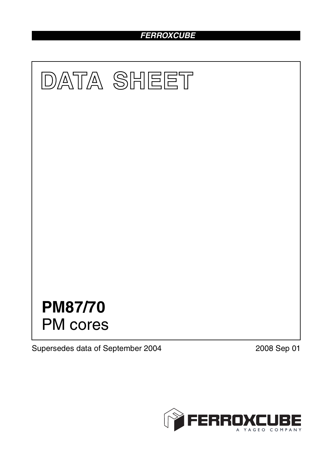# *FERROXCUBE*



Supersedes data of September 2004 2008 Sep 01

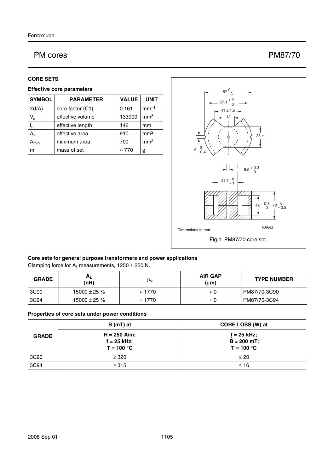## PM cores PM87/70

#### **CORE SETS**

#### **Effective core parameters**

| <b>SYMBOL</b> | <b>PARAMETER</b> | <b>VALUE</b>  | <b>UNIT</b>     |
|---------------|------------------|---------------|-----------------|
| $\Sigma(I/A)$ | core factor (C1) | 0.161         | $mm-1$          |
| $V_{e}$       | effective volume | 133000        | mm <sup>3</sup> |
| $I_e$         | effective length | 146           | mm              |
| $A_{e}$       | effective area   | 910           | mm <sup>2</sup> |
| Amin          | minimum area     | 700           | mm <sup>2</sup> |
| m             | mass of set      | $\approx 770$ | g               |



#### **Core sets for general purpose transformers and power applications**

Clamping force for  $A_L$  measurements,  $1250 \pm 250$  N.

| <b>GRADE</b> | $H_{L}$<br>(nH)   | μ <sub>e</sub> | <b>AIR GAP</b><br>$(\mu m)$ | <b>TYPE NUMBER</b> |
|--------------|-------------------|----------------|-----------------------------|--------------------|
| 3C90         | $15000 \pm 25 \%$ | $\approx 1770$ | $\approx 0$                 | PM87/70-3C90       |
| 3C94         | $15000 \pm 25 \%$ | $\approx 1770$ | $\approx 0$                 | PM87/70-3C94       |

#### **Properties of core sets under power conditions**

| <b>GRADE</b> | B (mT) at                                       | CORE LOSS (W) at                               |
|--------------|-------------------------------------------------|------------------------------------------------|
|              | $H = 250$ A/m;<br>$f = 25$ kHz;<br>$T = 100 °C$ | $f = 25$ kHz;<br>$B = 200$ mT;<br>$T = 100 °C$ |
| 3C90         | $\geq$ 320                                      | $\leq 20$                                      |
| 3C94         | $\geq$ 315                                      | $\leq 16$                                      |